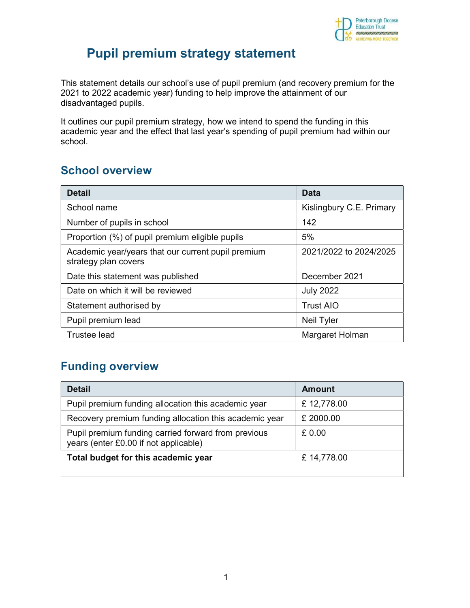

# Pupil premium strategy statement

This statement details our school's use of pupil premium (and recovery premium for the 2021 to 2022 academic year) funding to help improve the attainment of our disadvantaged pupils.

It outlines our pupil premium strategy, how we intend to spend the funding in this academic year and the effect that last year's spending of pupil premium had within our school.

### School overview

| <b>Detail</b>                                                              | <b>Data</b>              |
|----------------------------------------------------------------------------|--------------------------|
| School name                                                                | Kislingbury C.E. Primary |
| Number of pupils in school                                                 | 142                      |
| Proportion (%) of pupil premium eligible pupils                            | 5%                       |
| Academic year/years that our current pupil premium<br>strategy plan covers | 2021/2022 to 2024/2025   |
| Date this statement was published                                          | December 2021            |
| Date on which it will be reviewed                                          | <b>July 2022</b>         |
| Statement authorised by                                                    | <b>Trust AIO</b>         |
| Pupil premium lead                                                         | Neil Tyler               |
| <b>Trustee lead</b>                                                        | Margaret Holman          |

### Funding overview

| <b>Detail</b>                                                                                | Amount     |
|----------------------------------------------------------------------------------------------|------------|
| Pupil premium funding allocation this academic year                                          | £12,778.00 |
| Recovery premium funding allocation this academic year                                       | £ 2000.00  |
| Pupil premium funding carried forward from previous<br>years (enter £0.00 if not applicable) | £0.00      |
| Total budget for this academic year                                                          | £14,778.00 |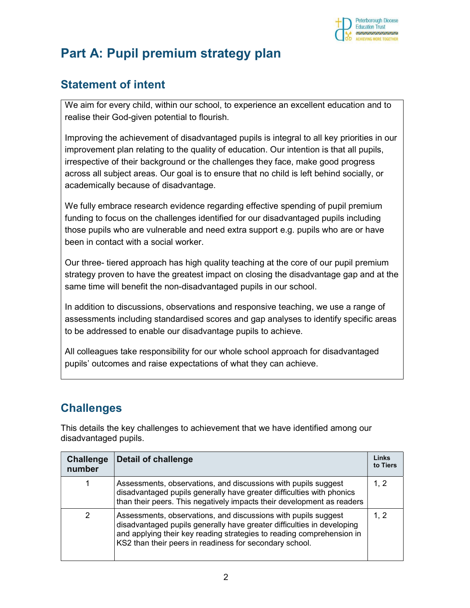

# Part A: Pupil premium strategy plan

# Statement of intent

We aim for every child, within our school, to experience an excellent education and to realise their God-given potential to flourish.

Improving the achievement of disadvantaged pupils is integral to all key priorities in our improvement plan relating to the quality of education. Our intention is that all pupils, irrespective of their background or the challenges they face, make good progress across all subject areas. Our goal is to ensure that no child is left behind socially, or academically because of disadvantage.

We fully embrace research evidence regarding effective spending of pupil premium funding to focus on the challenges identified for our disadvantaged pupils including those pupils who are vulnerable and need extra support e.g. pupils who are or have been in contact with a social worker.

Our three- tiered approach has high quality teaching at the core of our pupil premium strategy proven to have the greatest impact on closing the disadvantage gap and at the same time will benefit the non-disadvantaged pupils in our school.

In addition to discussions, observations and responsive teaching, we use a range of assessments including standardised scores and gap analyses to identify specific areas to be addressed to enable our disadvantage pupils to achieve.

All colleagues take responsibility for our whole school approach for disadvantaged pupils' outcomes and raise expectations of what they can achieve.

# **Challenges**

This details the key challenges to achievement that we have identified among our disadvantaged pupils.

| <b>Challenge</b><br>number | <b>Detail of challenge</b>                                                                                                                                                                                                                                                   | Links<br>to Tiers |
|----------------------------|------------------------------------------------------------------------------------------------------------------------------------------------------------------------------------------------------------------------------------------------------------------------------|-------------------|
|                            | Assessments, observations, and discussions with pupils suggest<br>disadvantaged pupils generally have greater difficulties with phonics<br>than their peers. This negatively impacts their development as readers                                                            | 1, 2              |
| 2                          | Assessments, observations, and discussions with pupils suggest<br>disadvantaged pupils generally have greater difficulties in developing<br>and applying their key reading strategies to reading comprehension in<br>KS2 than their peers in readiness for secondary school. | 1, 2              |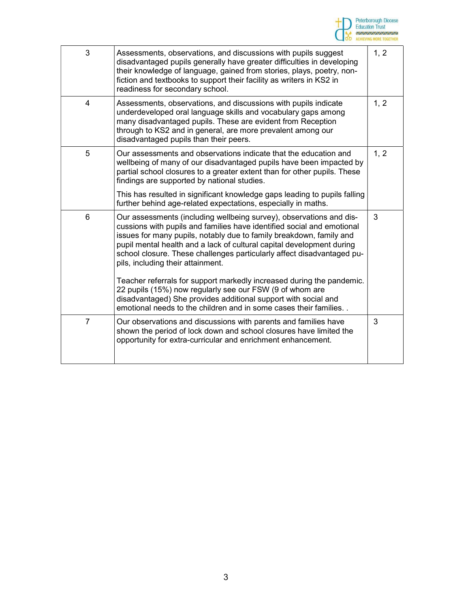

| Assessments, observations, and discussions with pupils suggest<br>disadvantaged pupils generally have greater difficulties in developing<br>their knowledge of language, gained from stories, plays, poetry, non-<br>fiction and textbooks to support their facility as writers in KS2 in<br>readiness for secondary school.                                                                                 | 1, 2 |
|--------------------------------------------------------------------------------------------------------------------------------------------------------------------------------------------------------------------------------------------------------------------------------------------------------------------------------------------------------------------------------------------------------------|------|
| Assessments, observations, and discussions with pupils indicate<br>underdeveloped oral language skills and vocabulary gaps among<br>many disadvantaged pupils. These are evident from Reception<br>through to KS2 and in general, are more prevalent among our<br>disadvantaged pupils than their peers.                                                                                                     | 1, 2 |
| Our assessments and observations indicate that the education and<br>wellbeing of many of our disadvantaged pupils have been impacted by<br>partial school closures to a greater extent than for other pupils. These<br>findings are supported by national studies.                                                                                                                                           | 1, 2 |
| This has resulted in significant knowledge gaps leading to pupils falling<br>further behind age-related expectations, especially in maths.                                                                                                                                                                                                                                                                   |      |
| Our assessments (including wellbeing survey), observations and dis-<br>cussions with pupils and families have identified social and emotional<br>issues for many pupils, notably due to family breakdown, family and<br>pupil mental health and a lack of cultural capital development during<br>school closure. These challenges particularly affect disadvantaged pu-<br>pils, including their attainment. | 3    |
| Teacher referrals for support markedly increased during the pandemic.<br>22 pupils (15%) now regularly see our FSW (9 of whom are<br>disadvantaged) She provides additional support with social and<br>emotional needs to the children and in some cases their families                                                                                                                                      |      |
| Our observations and discussions with parents and families have<br>shown the period of lock down and school closures have limited the<br>opportunity for extra-curricular and enrichment enhancement.                                                                                                                                                                                                        | 3    |
|                                                                                                                                                                                                                                                                                                                                                                                                              |      |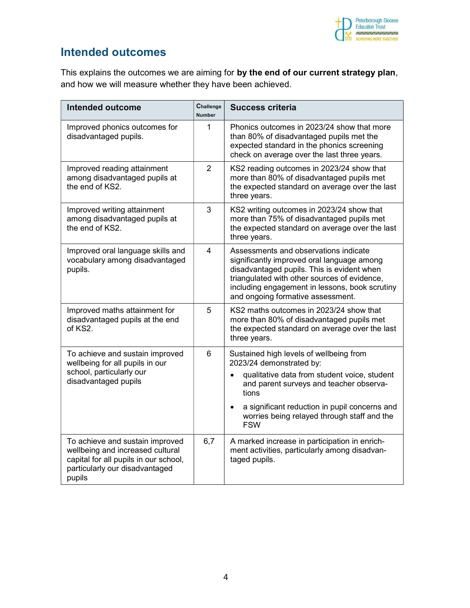

#### Intended outcomes

This explains the outcomes we are aiming for by the end of our current strategy plan, and how we will measure whether they have been achieved.

| <b>Intended outcome</b>                                                                                                                                  | Challenge<br><b>Number</b> | <b>Success criteria</b>                                                                                                                                                                                                                                                  |
|----------------------------------------------------------------------------------------------------------------------------------------------------------|----------------------------|--------------------------------------------------------------------------------------------------------------------------------------------------------------------------------------------------------------------------------------------------------------------------|
| Improved phonics outcomes for<br>disadvantaged pupils.                                                                                                   | 1                          | Phonics outcomes in 2023/24 show that more<br>than 80% of disadvantaged pupils met the<br>expected standard in the phonics screening<br>check on average over the last three years.                                                                                      |
| Improved reading attainment<br>among disadvantaged pupils at<br>the end of KS2.                                                                          | $\overline{2}$             | KS2 reading outcomes in 2023/24 show that<br>more than 80% of disadvantaged pupils met<br>the expected standard on average over the last<br>three years.                                                                                                                 |
| Improved writing attainment<br>among disadvantaged pupils at<br>the end of KS2.                                                                          | 3                          | KS2 writing outcomes in 2023/24 show that<br>more than 75% of disadvantaged pupils met<br>the expected standard on average over the last<br>three years.                                                                                                                 |
| Improved oral language skills and<br>vocabulary among disadvantaged<br>pupils.                                                                           | 4                          | Assessments and observations indicate<br>significantly improved oral language among<br>disadvantaged pupils. This is evident when<br>triangulated with other sources of evidence,<br>including engagement in lessons, book scrutiny<br>and ongoing formative assessment. |
| Improved maths attainment for<br>disadvantaged pupils at the end<br>of KS2.                                                                              | 5                          | KS2 maths outcomes in 2023/24 show that<br>more than 80% of disadvantaged pupils met<br>the expected standard on average over the last<br>three years.                                                                                                                   |
| To achieve and sustain improved<br>wellbeing for all pupils in our                                                                                       | 6                          | Sustained high levels of wellbeing from<br>2023/24 demonstrated by:                                                                                                                                                                                                      |
| school, particularly our<br>disadvantaged pupils                                                                                                         |                            | qualitative data from student voice, student<br>$\bullet$<br>and parent surveys and teacher observa-<br>tions                                                                                                                                                            |
|                                                                                                                                                          |                            | a significant reduction in pupil concerns and<br>$\bullet$<br>worries being relayed through staff and the<br><b>FSW</b>                                                                                                                                                  |
| To achieve and sustain improved<br>wellbeing and increased cultural<br>capital for all pupils in our school,<br>particularly our disadvantaged<br>pupils | 6,7                        | A marked increase in participation in enrich-<br>ment activities, particularly among disadvan-<br>taged pupils.                                                                                                                                                          |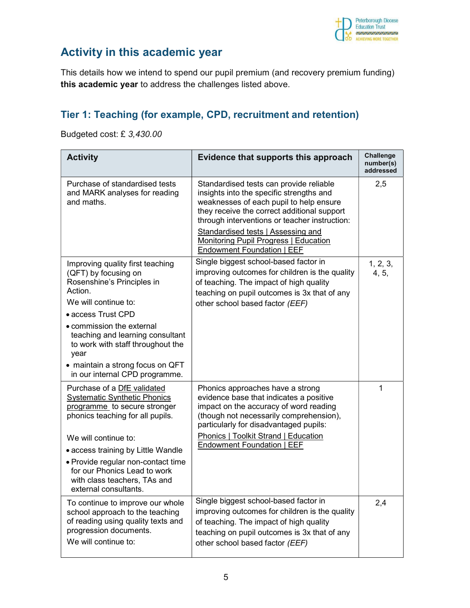

# Activity in this academic year

This details how we intend to spend our pupil premium (and recovery premium funding) this academic year to address the challenges listed above.

#### Tier 1: Teaching (for example, CPD, recruitment and retention)

Budgeted cost: £ 3,430.00

| <b>Activity</b>                                                                                                                                                                                                                                                                                                                     | Evidence that supports this approach                                                                                                                                                                                                                                                                                                               | <b>Challenge</b><br>number(s)<br>addressed |
|-------------------------------------------------------------------------------------------------------------------------------------------------------------------------------------------------------------------------------------------------------------------------------------------------------------------------------------|----------------------------------------------------------------------------------------------------------------------------------------------------------------------------------------------------------------------------------------------------------------------------------------------------------------------------------------------------|--------------------------------------------|
| Purchase of standardised tests<br>and MARK analyses for reading<br>and maths.                                                                                                                                                                                                                                                       | Standardised tests can provide reliable<br>insights into the specific strengths and<br>weaknesses of each pupil to help ensure<br>they receive the correct additional support<br>through interventions or teacher instruction:<br>Standardised tests   Assessing and<br>Monitoring Pupil Progress   Education<br><b>Endowment Foundation   EEF</b> | 2,5                                        |
| Improving quality first teaching<br>(QFT) by focusing on<br>Rosenshine's Principles in<br>Action.<br>We will continue to:<br>• access Trust CPD<br>• commission the external<br>teaching and learning consultant<br>to work with staff throughout the<br>year<br>• maintain a strong focus on QFT<br>in our internal CPD programme. | Single biggest school-based factor in<br>improving outcomes for children is the quality<br>of teaching. The impact of high quality<br>teaching on pupil outcomes is 3x that of any<br>other school based factor (EEF)                                                                                                                              | 1, 2, 3,<br>4, 5,                          |
| Purchase of a DfE validated<br><b>Systematic Synthetic Phonics</b><br>programme to secure stronger<br>phonics teaching for all pupils.<br>We will continue to:<br>• access training by Little Wandle<br>• Provide regular non-contact time<br>for our Phonics Lead to work<br>with class teachers, TAs and<br>external consultants. | Phonics approaches have a strong<br>evidence base that indicates a positive<br>impact on the accuracy of word reading<br>(though not necessarily comprehension),<br>particularly for disadvantaged pupils:<br>Phonics   Toolkit Strand   Education<br>Endowment Foundation   EEF                                                                   | 1                                          |
| To continue to improve our whole<br>school approach to the teaching<br>of reading using quality texts and<br>progression documents.<br>We will continue to:                                                                                                                                                                         | Single biggest school-based factor in<br>improving outcomes for children is the quality<br>of teaching. The impact of high quality<br>teaching on pupil outcomes is 3x that of any<br>other school based factor (EEF)                                                                                                                              | 2,4                                        |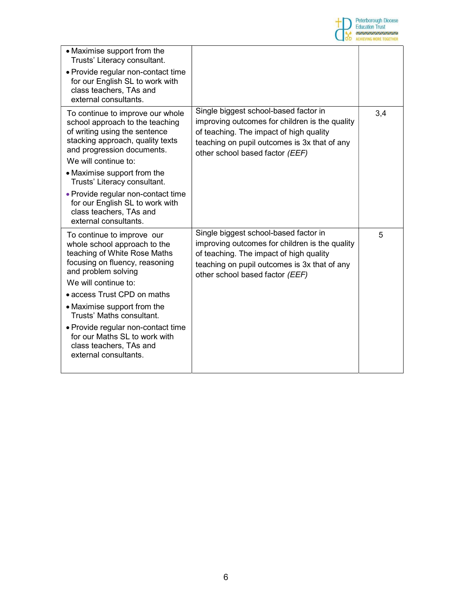

| • Maximise support from the<br>Trusts' Literacy consultant.<br>• Provide regular non-contact time<br>for our English SL to work with<br>class teachers, TAs and<br>external consultants.                                                                                                                                                                          |                                                                                                                                                                                                                       |     |
|-------------------------------------------------------------------------------------------------------------------------------------------------------------------------------------------------------------------------------------------------------------------------------------------------------------------------------------------------------------------|-----------------------------------------------------------------------------------------------------------------------------------------------------------------------------------------------------------------------|-----|
| To continue to improve our whole<br>school approach to the teaching<br>of writing using the sentence<br>stacking approach, quality texts<br>and progression documents.<br>We will continue to:<br>• Maximise support from the<br>Trusts' Literacy consultant.<br>• Provide regular non-contact time<br>for our English SL to work with<br>class teachers, TAs and | Single biggest school-based factor in<br>improving outcomes for children is the quality<br>of teaching. The impact of high quality<br>teaching on pupil outcomes is 3x that of any<br>other school based factor (EEF) | 3,4 |
| external consultants.                                                                                                                                                                                                                                                                                                                                             |                                                                                                                                                                                                                       |     |
| To continue to improve our<br>whole school approach to the<br>teaching of White Rose Maths<br>focusing on fluency, reasoning<br>and problem solving<br>We will continue to:                                                                                                                                                                                       | Single biggest school-based factor in<br>improving outcomes for children is the quality<br>of teaching. The impact of high quality<br>teaching on pupil outcomes is 3x that of any<br>other school based factor (EEF) | 5   |
| • access Trust CPD on maths                                                                                                                                                                                                                                                                                                                                       |                                                                                                                                                                                                                       |     |
| • Maximise support from the<br>Trusts' Maths consultant.                                                                                                                                                                                                                                                                                                          |                                                                                                                                                                                                                       |     |
| • Provide regular non-contact time<br>for our Maths SL to work with<br>class teachers, TAs and<br>external consultants.                                                                                                                                                                                                                                           |                                                                                                                                                                                                                       |     |
|                                                                                                                                                                                                                                                                                                                                                                   |                                                                                                                                                                                                                       |     |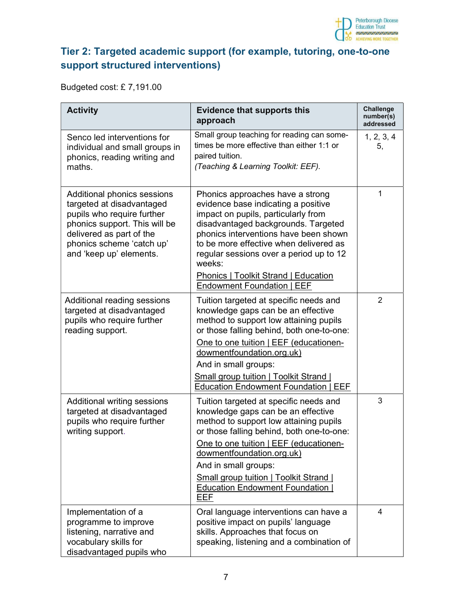

## Tier 2: Targeted academic support (for example, tutoring, one-to-one support structured interventions)

Budgeted cost: £ 7,191.00

| <b>Activity</b>                                                                                                                                                                                             | <b>Evidence that supports this</b><br>approach                                                                                                                                                                                                                                                                                                                                                        | Challenge<br>number(s)<br>addressed |
|-------------------------------------------------------------------------------------------------------------------------------------------------------------------------------------------------------------|-------------------------------------------------------------------------------------------------------------------------------------------------------------------------------------------------------------------------------------------------------------------------------------------------------------------------------------------------------------------------------------------------------|-------------------------------------|
| Senco led interventions for<br>individual and small groups in<br>phonics, reading writing and<br>maths.                                                                                                     | Small group teaching for reading can some-<br>times be more effective than either 1:1 or<br>paired tuition.<br>(Teaching & Learning Toolkit: EEF).                                                                                                                                                                                                                                                    | 1, 2, 3, 4<br>5,                    |
| Additional phonics sessions<br>targeted at disadvantaged<br>pupils who require further<br>phonics support. This will be<br>delivered as part of the<br>phonics scheme 'catch up'<br>and 'keep up' elements. | Phonics approaches have a strong<br>evidence base indicating a positive<br>impact on pupils, particularly from<br>disadvantaged backgrounds. Targeted<br>phonics interventions have been shown<br>to be more effective when delivered as<br>regular sessions over a period up to 12<br>weeks:<br><b>Phonics   Toolkit Strand   Education</b>                                                          | 1                                   |
| Additional reading sessions<br>targeted at disadvantaged<br>pupils who require further<br>reading support.                                                                                                  | <b>Endowment Foundation   EEF</b><br>Tuition targeted at specific needs and<br>knowledge gaps can be an effective<br>method to support low attaining pupils<br>or those falling behind, both one-to-one:<br>One to one tuition   EEF (educationen-<br>dowmentfoundation.org.uk)<br>And in small groups:<br><b>Small group tuition   Toolkit Strand</b><br><b>Education Endowment Foundation   EEF</b> | $\overline{2}$                      |
| Additional writing sessions<br>targeted at disadvantaged<br>pupils who require further<br>writing support.                                                                                                  | Tuition targeted at specific needs and<br>knowledge gaps can be an effective<br>method to support low attaining pupils<br>or those falling behind, both one-to-one:<br>One to one tuition   EEF (educationen-<br>dowmentfoundation.org.uk)<br>And in small groups:<br><b>Small group tuition   Toolkit Strand  </b><br><b>Education Endowment Foundation</b><br><b>EEF</b>                            | 3                                   |
| Implementation of a<br>programme to improve<br>listening, narrative and<br>vocabulary skills for<br>disadvantaged pupils who                                                                                | Oral language interventions can have a<br>positive impact on pupils' language<br>skills. Approaches that focus on<br>speaking, listening and a combination of                                                                                                                                                                                                                                         | 4                                   |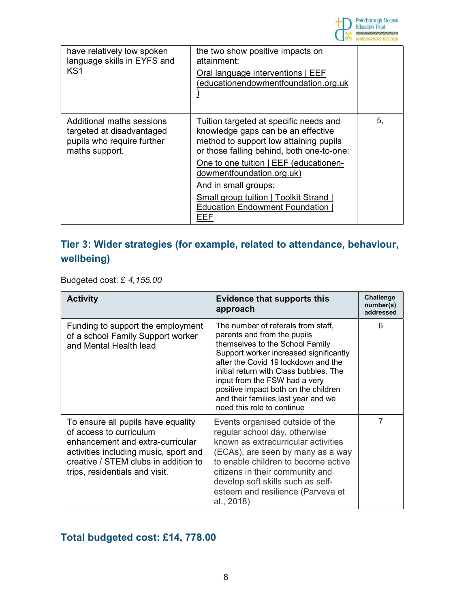

| have relatively low spoken<br>language skills in EYFS and                                              | the two show positive impacts on<br>attainment:                                                                                                                     |    |
|--------------------------------------------------------------------------------------------------------|---------------------------------------------------------------------------------------------------------------------------------------------------------------------|----|
| KS <sub>1</sub>                                                                                        | Oral language interventions   EEF<br>(educationendowmentfoundation.org.uk                                                                                           |    |
| Additional maths sessions<br>targeted at disadvantaged<br>pupils who require further<br>maths support. | Tuition targeted at specific needs and<br>knowledge gaps can be an effective<br>method to support low attaining pupils<br>or those falling behind, both one-to-one: | 5, |
|                                                                                                        | One to one tuition   EEF (educationen-<br>dowmentfoundation.org.uk)                                                                                                 |    |
|                                                                                                        | And in small groups:                                                                                                                                                |    |
|                                                                                                        | <b>Small group tuition   Toolkit Strand  </b><br><b>Education Endowment Foundation</b><br>EEF                                                                       |    |

#### Tier 3: Wider strategies (for example, related to attendance, behaviour, wellbeing)

Budgeted cost: £ 4,155.00

| <b>Activity</b>                                                                                                                                                                                                      | <b>Evidence that supports this</b><br>approach                                                                                                                                                                                                                                                                                                                                | <b>Challenge</b><br>number(s)<br>addressed |
|----------------------------------------------------------------------------------------------------------------------------------------------------------------------------------------------------------------------|-------------------------------------------------------------------------------------------------------------------------------------------------------------------------------------------------------------------------------------------------------------------------------------------------------------------------------------------------------------------------------|--------------------------------------------|
| Funding to support the employment<br>of a school Family Support worker<br>and Mental Health lead                                                                                                                     | The number of referals from staff,<br>parents and from the pupils<br>themselves to the School Family<br>Support worker increased significantly<br>after the Covid 19 lockdown and the<br>initial return with Class bubbles. The<br>input from the FSW had a very<br>positive impact both on the children<br>and their families last year and we<br>need this role to continue | 6                                          |
| To ensure all pupils have equality<br>of access to curriculum<br>enhancement and extra-curricular<br>activities including music, sport and<br>creative / STEM clubs in addition to<br>trips, residentials and visit. | Events organised outside of the<br>regular school day, otherwise<br>known as extracurricular activities<br>(ECAs), are seen by many as a way<br>to enable children to become active<br>citizens in their community and<br>develop soft skills such as self-<br>esteem and resilience (Parveva et<br>al., 2018)                                                                | $\overline{7}$                             |

## Total budgeted cost: £14, 778.00